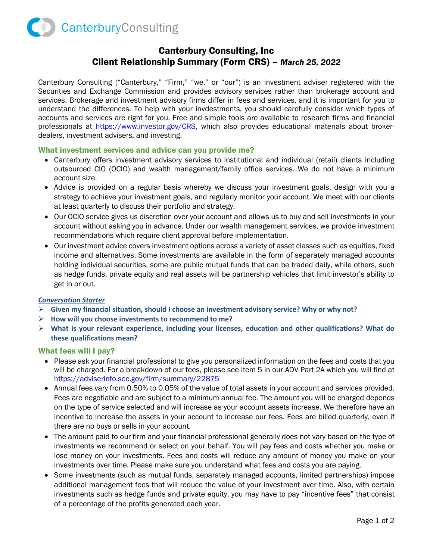

# Canterbury Consulting, Inc Client Relationship Summary (Form CRS) – *March 25, 2022*

Canterbury Consulting ("Canterbury," "Firm," "we," or "our") is an investment adviser registered with the Securities and Exchange Commission and provides advisory services rather than brokerage account and services. Brokerage and investment advisory firms differ in fees and services, and it is important for you to understand the differences. To help with your invdestments, you should carefully consider which types of accounts and services are right for you. Free and simple tools are available to research firms and financial professionals at [https://www.investor.gov/CRS,](https://www.investor.gov/CRS) which also provides educational materials about brokerdealers, investment advisers, and investing.

# What investment services and advice can you provide me?

- Canterbury offers investment advisory services to institutional and individual (retail) clients including outsourced CIO (OCIO) and wealth management/family office services. We do not have a minimum account size.
- Advice is provided on a regular basis whereby we discuss your investment goals, design with you a strategy to achieve your investment goals, and regularly monitor your account. We meet with our clients at least quarterly to discuss their portfolio and strategy.
- Our OCIO service gives us discretion over your account and allows us to buy and sell investments in your account without asking you in advance. Under our wealth management services, we provide investment recommendations which require client approval before implementation.
- Our investment advice covers investment options across a variety of asset classes such as equities, fixed income and alternatives. Some investments are available in the form of separately managed accounts holding individual securities, some are public mutual funds that can be traded daily, while others, such as hedge funds, private equity and real assets will be partnership vehicles that limit investor's ability to get in or out.

#### *Conversation Starter*

- **Given my financial situation, should I choose an investment advisory service? Why or why not?**
- **How will you choose investments to recommend to me?**
- **What is your relevant experience, including your licenses, education and other qualifications? What do these qualifications mean?**

#### What fees will I pay?

- Please ask your financial professional to give you personalized information on the fees and costs that you will be charged. For a breakdown of our fees, please see Item 5 in our ADV Part 2A which you will find at <https://adviserinfo.sec.gov/firm/summary/22875>
- Annual fees vary from 0.50% to 0.05% of the value of total assets in your account and services provided. Fees are negotiable and are subject to a minimum annual fee. The amount you will be charged depends on the type of service selected and will increase as your account assets increase. We therefore have an incentive to increase the assets in your account to increase our fees. Fees are billed quarterly, even if there are no buys or sells in your account.
- The amount paid to our firm and your financial professional generally does not vary based on the type of investments we recommend or select on your behalf. You will pay fees and costs whether you make or lose money on your investments. Fees and costs will reduce any amount of money you make on your investments over time. Please make sure you understand what fees and costs you are paying.
- Some investments (such as mutual funds, separately managed accounts, limited partnerships) impose additional management fees that will reduce the value of your investment over time. Also, with certain investments such as hedge funds and private equity, you may have to pay "incentive fees" that consist of a percentage of the profits generated each year.